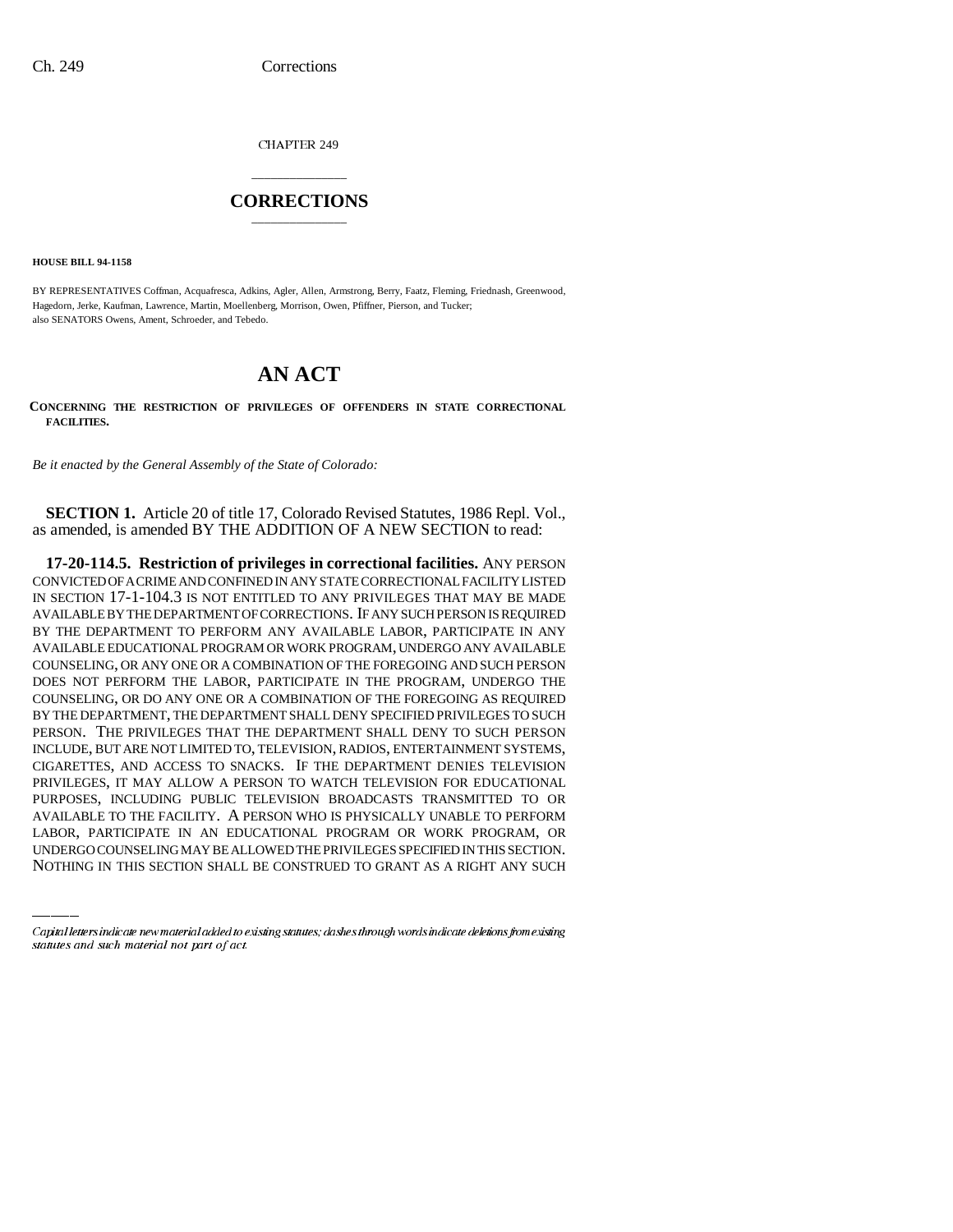CHAPTER 249

## \_\_\_\_\_\_\_\_\_\_\_\_\_\_\_ **CORRECTIONS** \_\_\_\_\_\_\_\_\_\_\_\_\_\_\_

**HOUSE BILL 94-1158**

BY REPRESENTATIVES Coffman, Acquafresca, Adkins, Agler, Allen, Armstrong, Berry, Faatz, Fleming, Friednash, Greenwood, Hagedorn, Jerke, Kaufman, Lawrence, Martin, Moellenberg, Morrison, Owen, Pfiffner, Pierson, and Tucker; also SENATORS Owens, Ament, Schroeder, and Tebedo.

## **AN ACT**

**CONCERNING THE RESTRICTION OF PRIVILEGES OF OFFENDERS IN STATE CORRECTIONAL FACILITIES.**

*Be it enacted by the General Assembly of the State of Colorado:*

**SECTION 1.** Article 20 of title 17, Colorado Revised Statutes, 1986 Repl. Vol., as amended, is amended BY THE ADDITION OF A NEW SECTION to read:

PURPOSES, INCLUDING PUBLIC TELEVISION BROADCASTS TRANSMITTED TO OR **17-20-114.5. Restriction of privileges in correctional facilities.** ANY PERSON CONVICTED OF A CRIME AND CONFINED IN ANY STATE CORRECTIONAL FACILITY LISTED IN SECTION 17-1-104.3 IS NOT ENTITLED TO ANY PRIVILEGES THAT MAY BE MADE AVAILABLE BY THE DEPARTMENT OF CORRECTIONS. IF ANY SUCH PERSON IS REQUIRED BY THE DEPARTMENT TO PERFORM ANY AVAILABLE LABOR, PARTICIPATE IN ANY AVAILABLE EDUCATIONAL PROGRAM OR WORK PROGRAM, UNDERGO ANY AVAILABLE COUNSELING, OR ANY ONE OR A COMBINATION OF THE FOREGOING AND SUCH PERSON DOES NOT PERFORM THE LABOR, PARTICIPATE IN THE PROGRAM, UNDERGO THE COUNSELING, OR DO ANY ONE OR A COMBINATION OF THE FOREGOING AS REQUIRED BY THE DEPARTMENT, THE DEPARTMENT SHALL DENY SPECIFIED PRIVILEGES TO SUCH PERSON. THE PRIVILEGES THAT THE DEPARTMENT SHALL DENY TO SUCH PERSON INCLUDE, BUT ARE NOT LIMITED TO, TELEVISION, RADIOS, ENTERTAINMENT SYSTEMS, CIGARETTES, AND ACCESS TO SNACKS. IF THE DEPARTMENT DENIES TELEVISION PRIVILEGES, IT MAY ALLOW A PERSON TO WATCH TELEVISION FOR EDUCATIONAL AVAILABLE TO THE FACILITY. A PERSON WHO IS PHYSICALLY UNABLE TO PERFORM LABOR, PARTICIPATE IN AN EDUCATIONAL PROGRAM OR WORK PROGRAM, OR UNDERGO COUNSELING MAY BE ALLOWED THE PRIVILEGES SPECIFIED IN THIS SECTION. NOTHING IN THIS SECTION SHALL BE CONSTRUED TO GRANT AS A RIGHT ANY SUCH

Capital letters indicate new material added to existing statutes; dashes through words indicate deletions from existing statutes and such material not part of act.